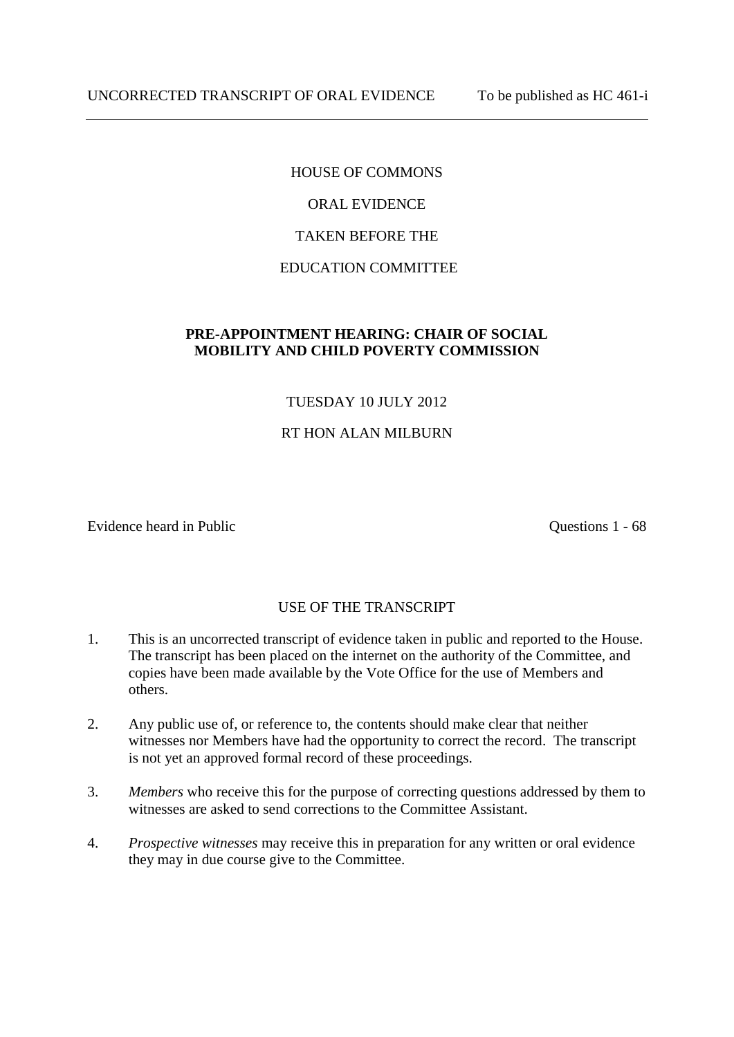# HOUSE OF COMMONS ORAL EVIDENCE TAKEN BEFORE THE EDUCATION COMMITTEE

# **PRE-APPOINTMENT HEARING: CHAIR OF SOCIAL MOBILITY AND CHILD POVERTY COMMISSION**

# TUESDAY 10 JULY 2012

# RT HON ALAN MILBURN

Evidence heard in Public Questions 1 - 68

# USE OF THE TRANSCRIPT

- 1. This is an uncorrected transcript of evidence taken in public and reported to the House. The transcript has been placed on the internet on the authority of the Committee, and copies have been made available by the Vote Office for the use of Members and others.
- 2. Any public use of, or reference to, the contents should make clear that neither witnesses nor Members have had the opportunity to correct the record. The transcript is not yet an approved formal record of these proceedings.
- 3. *Members* who receive this for the purpose of correcting questions addressed by them to witnesses are asked to send corrections to the Committee Assistant.
- 4. *Prospective witnesses* may receive this in preparation for any written or oral evidence they may in due course give to the Committee.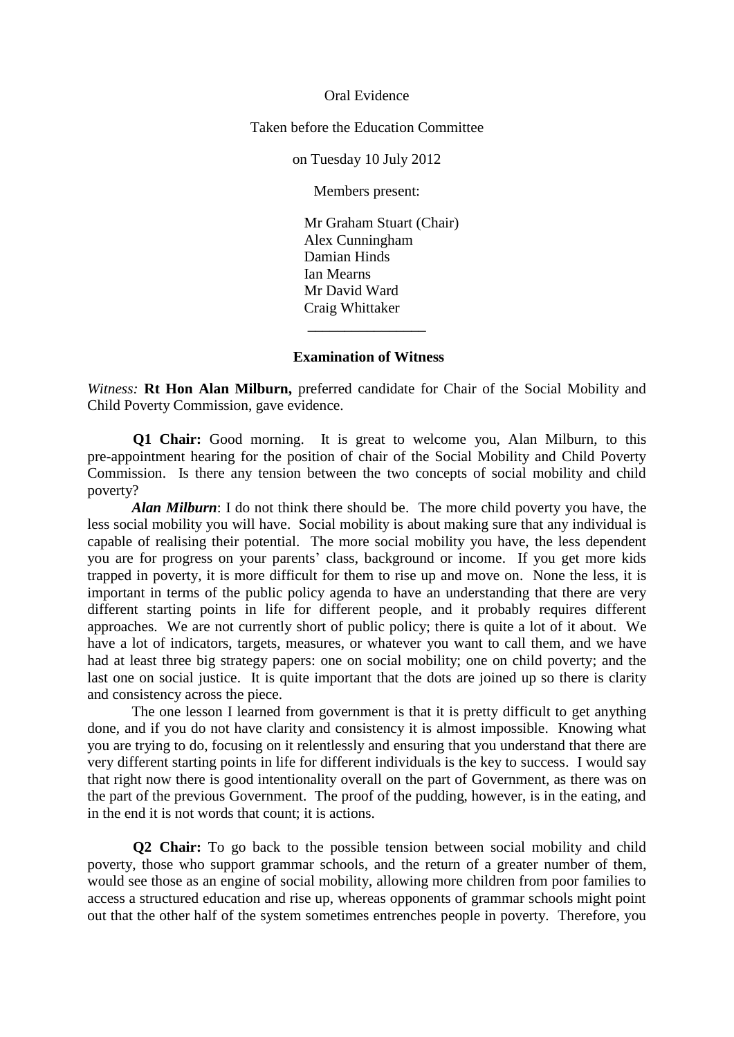Oral Evidence

Taken before the Education Committee

on Tuesday 10 July 2012

Members present:

Mr Graham Stuart (Chair) Alex Cunningham Damian Hinds Ian Mearns Mr David Ward Craig Whittaker

#### **Examination of Witness**

\_\_\_\_\_\_\_\_\_\_\_\_\_\_\_\_

*Witness:* **Rt Hon Alan Milburn,** preferred candidate for Chair of the Social Mobility and Child Poverty Commission, gave evidence.

**Q1 Chair:** Good morning. It is great to welcome you, Alan Milburn, to this pre-appointment hearing for the position of chair of the Social Mobility and Child Poverty Commission. Is there any tension between the two concepts of social mobility and child poverty?

*Alan Milburn*: I do not think there should be. The more child poverty you have, the less social mobility you will have. Social mobility is about making sure that any individual is capable of realising their potential. The more social mobility you have, the less dependent you are for progress on your parents' class, background or income. If you get more kids trapped in poverty, it is more difficult for them to rise up and move on. None the less, it is important in terms of the public policy agenda to have an understanding that there are very different starting points in life for different people, and it probably requires different approaches. We are not currently short of public policy; there is quite a lot of it about. We have a lot of indicators, targets, measures, or whatever you want to call them, and we have had at least three big strategy papers: one on social mobility; one on child poverty; and the last one on social justice. It is quite important that the dots are joined up so there is clarity and consistency across the piece.

The one lesson I learned from government is that it is pretty difficult to get anything done, and if you do not have clarity and consistency it is almost impossible. Knowing what you are trying to do, focusing on it relentlessly and ensuring that you understand that there are very different starting points in life for different individuals is the key to success. I would say that right now there is good intentionality overall on the part of Government, as there was on the part of the previous Government. The proof of the pudding, however, is in the eating, and in the end it is not words that count; it is actions.

**Q2 Chair:** To go back to the possible tension between social mobility and child poverty, those who support grammar schools, and the return of a greater number of them, would see those as an engine of social mobility, allowing more children from poor families to access a structured education and rise up, whereas opponents of grammar schools might point out that the other half of the system sometimes entrenches people in poverty. Therefore, you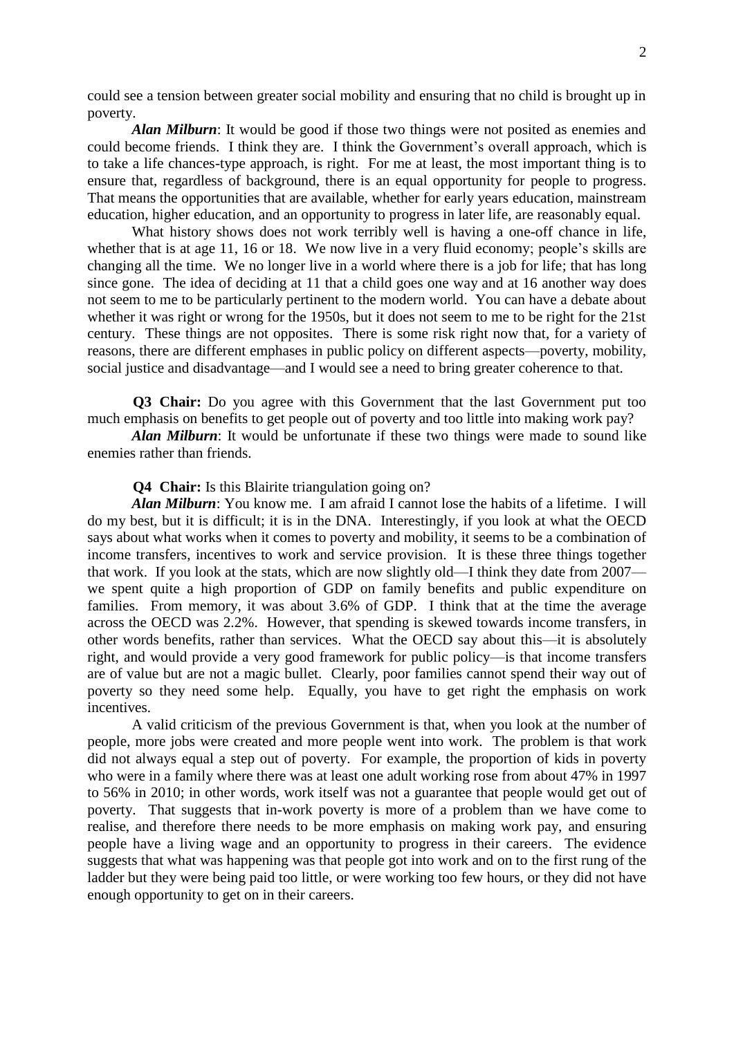could see a tension between greater social mobility and ensuring that no child is brought up in poverty.

*Alan Milburn*: It would be good if those two things were not posited as enemies and could become friends. I think they are. I think the Government's overall approach, which is to take a life chances-type approach, is right. For me at least, the most important thing is to ensure that, regardless of background, there is an equal opportunity for people to progress. That means the opportunities that are available, whether for early years education, mainstream education, higher education, and an opportunity to progress in later life, are reasonably equal.

What history shows does not work terribly well is having a one-off chance in life, whether that is at age 11, 16 or 18. We now live in a very fluid economy; people's skills are changing all the time. We no longer live in a world where there is a job for life; that has long since gone. The idea of deciding at 11 that a child goes one way and at 16 another way does not seem to me to be particularly pertinent to the modern world. You can have a debate about whether it was right or wrong for the 1950s, but it does not seem to me to be right for the 21st century. These things are not opposites. There is some risk right now that, for a variety of reasons, there are different emphases in public policy on different aspects—poverty, mobility, social justice and disadvantage—and I would see a need to bring greater coherence to that.

**Q3 Chair:** Do you agree with this Government that the last Government put too much emphasis on benefits to get people out of poverty and too little into making work pay?

*Alan Milburn*: It would be unfortunate if these two things were made to sound like enemies rather than friends.

## **Q4 Chair:** Is this Blairite triangulation going on?

*Alan Milburn*: You know me. I am afraid I cannot lose the habits of a lifetime. I will do my best, but it is difficult; it is in the DNA. Interestingly, if you look at what the OECD says about what works when it comes to poverty and mobility, it seems to be a combination of income transfers, incentives to work and service provision. It is these three things together that work. If you look at the stats, which are now slightly old—I think they date from 2007 we spent quite a high proportion of GDP on family benefits and public expenditure on families. From memory, it was about 3.6% of GDP. I think that at the time the average across the OECD was 2.2%. However, that spending is skewed towards income transfers, in other words benefits, rather than services. What the OECD say about this—it is absolutely right, and would provide a very good framework for public policy—is that income transfers are of value but are not a magic bullet. Clearly, poor families cannot spend their way out of poverty so they need some help. Equally, you have to get right the emphasis on work incentives.

A valid criticism of the previous Government is that, when you look at the number of people, more jobs were created and more people went into work. The problem is that work did not always equal a step out of poverty. For example, the proportion of kids in poverty who were in a family where there was at least one adult working rose from about 47% in 1997 to 56% in 2010; in other words, work itself was not a guarantee that people would get out of poverty. That suggests that in-work poverty is more of a problem than we have come to realise, and therefore there needs to be more emphasis on making work pay, and ensuring people have a living wage and an opportunity to progress in their careers. The evidence suggests that what was happening was that people got into work and on to the first rung of the ladder but they were being paid too little, or were working too few hours, or they did not have enough opportunity to get on in their careers.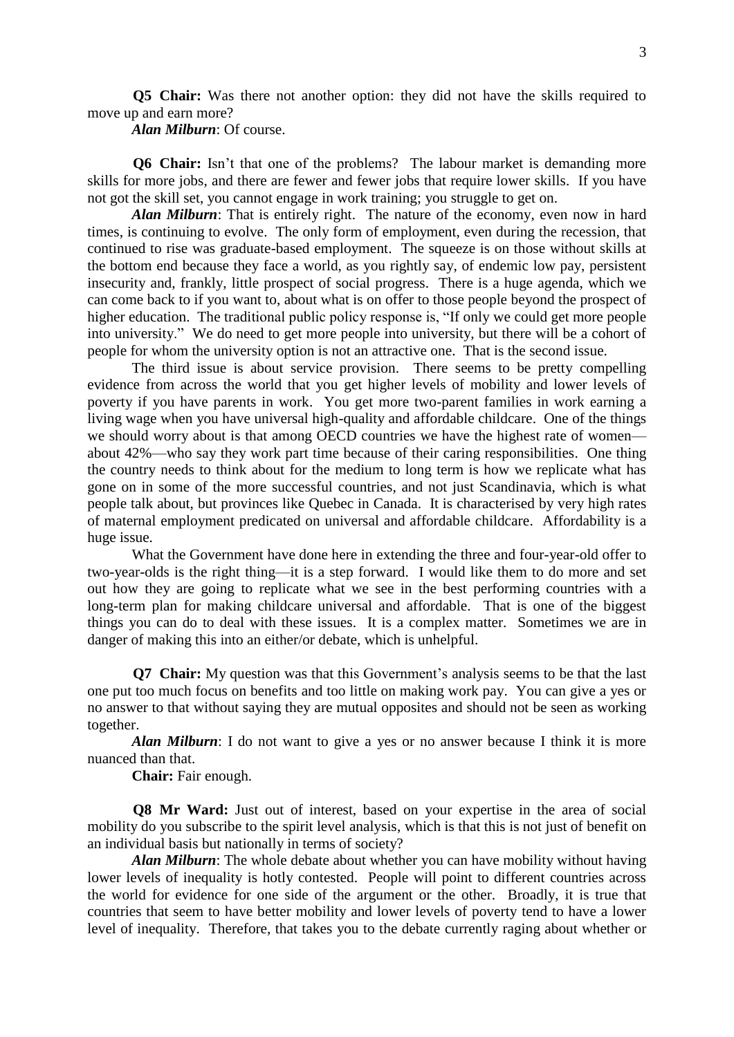**Q5 Chair:** Was there not another option: they did not have the skills required to move up and earn more?

*Alan Milburn*: Of course.

**Q6 Chair:** Isn't that one of the problems? The labour market is demanding more skills for more jobs, and there are fewer and fewer jobs that require lower skills. If you have not got the skill set, you cannot engage in work training; you struggle to get on.

*Alan Milburn*: That is entirely right. The nature of the economy, even now in hard times, is continuing to evolve. The only form of employment, even during the recession, that continued to rise was graduate-based employment. The squeeze is on those without skills at the bottom end because they face a world, as you rightly say, of endemic low pay, persistent insecurity and, frankly, little prospect of social progress. There is a huge agenda, which we can come back to if you want to, about what is on offer to those people beyond the prospect of higher education. The traditional public policy response is, "If only we could get more people into university." We do need to get more people into university, but there will be a cohort of people for whom the university option is not an attractive one. That is the second issue.

The third issue is about service provision. There seems to be pretty compelling evidence from across the world that you get higher levels of mobility and lower levels of poverty if you have parents in work. You get more two-parent families in work earning a living wage when you have universal high-quality and affordable childcare. One of the things we should worry about is that among OECD countries we have the highest rate of women about 42%—who say they work part time because of their caring responsibilities. One thing the country needs to think about for the medium to long term is how we replicate what has gone on in some of the more successful countries, and not just Scandinavia, which is what people talk about, but provinces like Quebec in Canada. It is characterised by very high rates of maternal employment predicated on universal and affordable childcare. Affordability is a huge issue.

What the Government have done here in extending the three and four-year-old offer to two-year-olds is the right thing—it is a step forward. I would like them to do more and set out how they are going to replicate what we see in the best performing countries with a long-term plan for making childcare universal and affordable. That is one of the biggest things you can do to deal with these issues. It is a complex matter. Sometimes we are in danger of making this into an either/or debate, which is unhelpful.

**Q7 Chair:** My question was that this Government's analysis seems to be that the last one put too much focus on benefits and too little on making work pay. You can give a yes or no answer to that without saying they are mutual opposites and should not be seen as working together.

*Alan Milburn*: I do not want to give a yes or no answer because I think it is more nuanced than that.

**Chair:** Fair enough.

**Q8 Mr Ward:** Just out of interest, based on your expertise in the area of social mobility do you subscribe to the spirit level analysis, which is that this is not just of benefit on an individual basis but nationally in terms of society?

*Alan Milburn*: The whole debate about whether you can have mobility without having lower levels of inequality is hotly contested. People will point to different countries across the world for evidence for one side of the argument or the other. Broadly, it is true that countries that seem to have better mobility and lower levels of poverty tend to have a lower level of inequality. Therefore, that takes you to the debate currently raging about whether or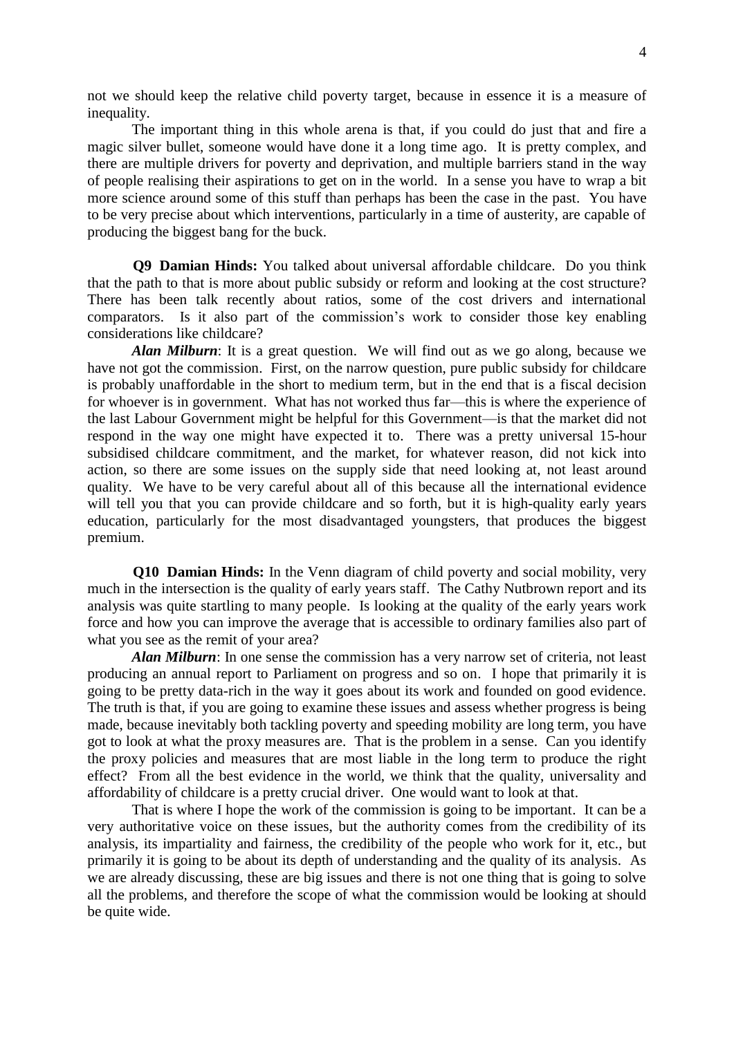not we should keep the relative child poverty target, because in essence it is a measure of inequality.

The important thing in this whole arena is that, if you could do just that and fire a magic silver bullet, someone would have done it a long time ago. It is pretty complex, and there are multiple drivers for poverty and deprivation, and multiple barriers stand in the way of people realising their aspirations to get on in the world. In a sense you have to wrap a bit more science around some of this stuff than perhaps has been the case in the past. You have to be very precise about which interventions, particularly in a time of austerity, are capable of producing the biggest bang for the buck.

**Q9 Damian Hinds:** You talked about universal affordable childcare. Do you think that the path to that is more about public subsidy or reform and looking at the cost structure? There has been talk recently about ratios, some of the cost drivers and international comparators. Is it also part of the commission's work to consider those key enabling considerations like childcare?

*Alan Milburn*: It is a great question. We will find out as we go along, because we have not got the commission. First, on the narrow question, pure public subsidy for childcare is probably unaffordable in the short to medium term, but in the end that is a fiscal decision for whoever is in government. What has not worked thus far—this is where the experience of the last Labour Government might be helpful for this Government—is that the market did not respond in the way one might have expected it to. There was a pretty universal 15-hour subsidised childcare commitment, and the market, for whatever reason, did not kick into action, so there are some issues on the supply side that need looking at, not least around quality. We have to be very careful about all of this because all the international evidence will tell you that you can provide childcare and so forth, but it is high-quality early years education, particularly for the most disadvantaged youngsters, that produces the biggest premium.

**Q10 Damian Hinds:** In the Venn diagram of child poverty and social mobility, very much in the intersection is the quality of early years staff. The Cathy Nutbrown report and its analysis was quite startling to many people. Is looking at the quality of the early years work force and how you can improve the average that is accessible to ordinary families also part of what you see as the remit of your area?

*Alan Milburn*: In one sense the commission has a very narrow set of criteria, not least producing an annual report to Parliament on progress and so on. I hope that primarily it is going to be pretty data-rich in the way it goes about its work and founded on good evidence. The truth is that, if you are going to examine these issues and assess whether progress is being made, because inevitably both tackling poverty and speeding mobility are long term, you have got to look at what the proxy measures are. That is the problem in a sense. Can you identify the proxy policies and measures that are most liable in the long term to produce the right effect? From all the best evidence in the world, we think that the quality, universality and affordability of childcare is a pretty crucial driver. One would want to look at that.

That is where I hope the work of the commission is going to be important. It can be a very authoritative voice on these issues, but the authority comes from the credibility of its analysis, its impartiality and fairness, the credibility of the people who work for it, etc., but primarily it is going to be about its depth of understanding and the quality of its analysis. As we are already discussing, these are big issues and there is not one thing that is going to solve all the problems, and therefore the scope of what the commission would be looking at should be quite wide.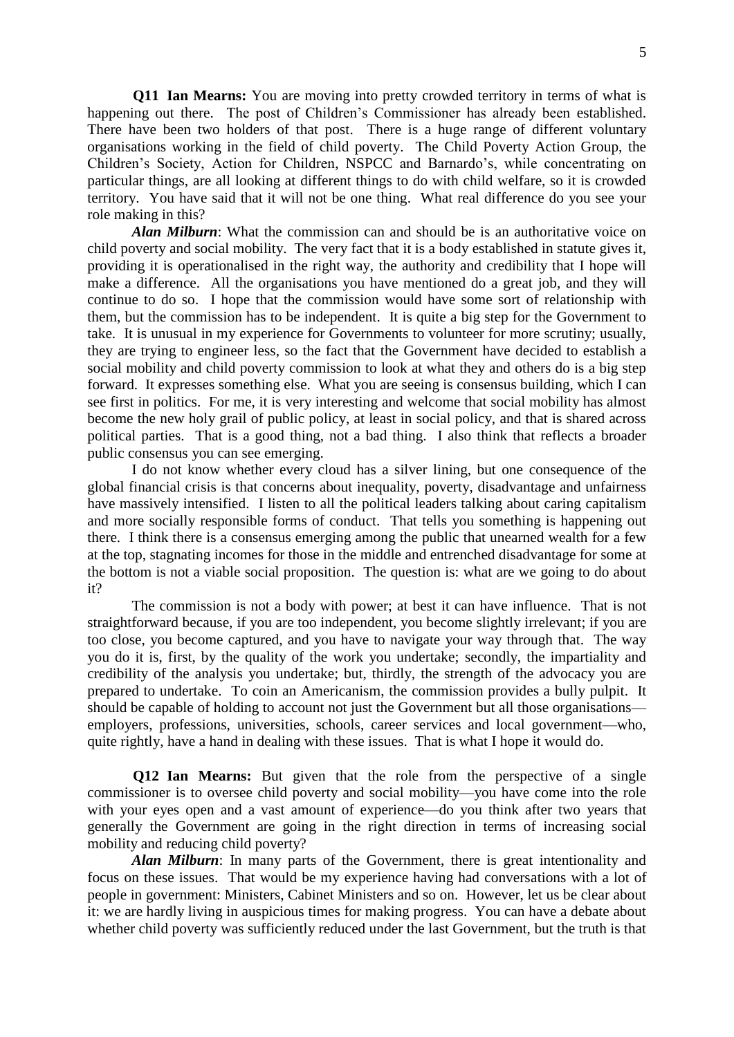**Q11 Ian Mearns:** You are moving into pretty crowded territory in terms of what is happening out there. The post of Children's Commissioner has already been established. There have been two holders of that post. There is a huge range of different voluntary organisations working in the field of child poverty. The Child Poverty Action Group, the Children's Society, Action for Children, NSPCC and Barnardo's, while concentrating on particular things, are all looking at different things to do with child welfare, so it is crowded territory. You have said that it will not be one thing. What real difference do you see your role making in this?

*Alan Milburn*: What the commission can and should be is an authoritative voice on child poverty and social mobility. The very fact that it is a body established in statute gives it, providing it is operationalised in the right way, the authority and credibility that I hope will make a difference. All the organisations you have mentioned do a great job, and they will continue to do so. I hope that the commission would have some sort of relationship with them, but the commission has to be independent. It is quite a big step for the Government to take. It is unusual in my experience for Governments to volunteer for more scrutiny; usually, they are trying to engineer less, so the fact that the Government have decided to establish a social mobility and child poverty commission to look at what they and others do is a big step forward. It expresses something else. What you are seeing is consensus building, which I can see first in politics. For me, it is very interesting and welcome that social mobility has almost become the new holy grail of public policy, at least in social policy, and that is shared across political parties. That is a good thing, not a bad thing. I also think that reflects a broader public consensus you can see emerging.

I do not know whether every cloud has a silver lining, but one consequence of the global financial crisis is that concerns about inequality, poverty, disadvantage and unfairness have massively intensified. I listen to all the political leaders talking about caring capitalism and more socially responsible forms of conduct. That tells you something is happening out there. I think there is a consensus emerging among the public that unearned wealth for a few at the top, stagnating incomes for those in the middle and entrenched disadvantage for some at the bottom is not a viable social proposition. The question is: what are we going to do about it?

The commission is not a body with power; at best it can have influence. That is not straightforward because, if you are too independent, you become slightly irrelevant; if you are too close, you become captured, and you have to navigate your way through that. The way you do it is, first, by the quality of the work you undertake; secondly, the impartiality and credibility of the analysis you undertake; but, thirdly, the strength of the advocacy you are prepared to undertake. To coin an Americanism, the commission provides a bully pulpit. It should be capable of holding to account not just the Government but all those organisations employers, professions, universities, schools, career services and local government—who, quite rightly, have a hand in dealing with these issues. That is what I hope it would do.

**Q12 Ian Mearns:** But given that the role from the perspective of a single commissioner is to oversee child poverty and social mobility—you have come into the role with your eyes open and a vast amount of experience—do you think after two years that generally the Government are going in the right direction in terms of increasing social mobility and reducing child poverty?

*Alan Milburn*: In many parts of the Government, there is great intentionality and focus on these issues. That would be my experience having had conversations with a lot of people in government: Ministers, Cabinet Ministers and so on. However, let us be clear about it: we are hardly living in auspicious times for making progress. You can have a debate about whether child poverty was sufficiently reduced under the last Government, but the truth is that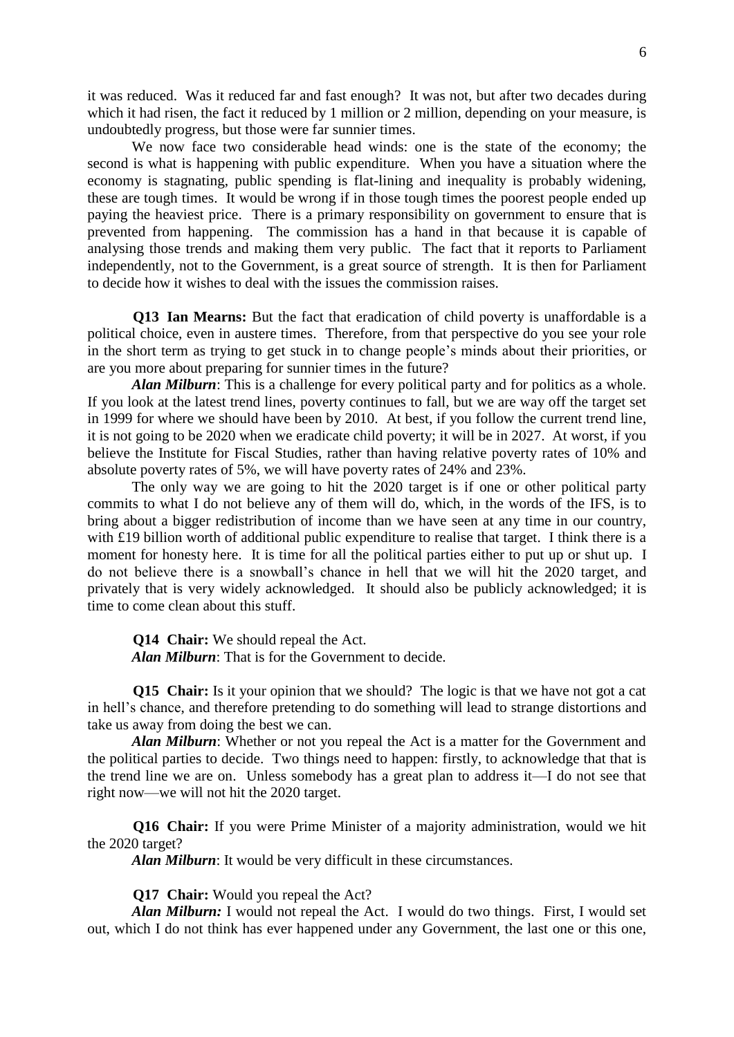it was reduced. Was it reduced far and fast enough? It was not, but after two decades during which it had risen, the fact it reduced by 1 million or 2 million, depending on your measure, is undoubtedly progress, but those were far sunnier times.

We now face two considerable head winds: one is the state of the economy; the second is what is happening with public expenditure. When you have a situation where the economy is stagnating, public spending is flat-lining and inequality is probably widening, these are tough times. It would be wrong if in those tough times the poorest people ended up paying the heaviest price. There is a primary responsibility on government to ensure that is prevented from happening. The commission has a hand in that because it is capable of analysing those trends and making them very public. The fact that it reports to Parliament independently, not to the Government, is a great source of strength. It is then for Parliament to decide how it wishes to deal with the issues the commission raises.

**Q13 Ian Mearns:** But the fact that eradication of child poverty is unaffordable is a political choice, even in austere times. Therefore, from that perspective do you see your role in the short term as trying to get stuck in to change people's minds about their priorities, or are you more about preparing for sunnier times in the future?

*Alan Milburn*: This is a challenge for every political party and for politics as a whole. If you look at the latest trend lines, poverty continues to fall, but we are way off the target set in 1999 for where we should have been by 2010. At best, if you follow the current trend line, it is not going to be 2020 when we eradicate child poverty; it will be in 2027. At worst, if you believe the Institute for Fiscal Studies, rather than having relative poverty rates of 10% and absolute poverty rates of 5%, we will have poverty rates of 24% and 23%.

The only way we are going to hit the 2020 target is if one or other political party commits to what I do not believe any of them will do, which, in the words of the IFS, is to bring about a bigger redistribution of income than we have seen at any time in our country, with £19 billion worth of additional public expenditure to realise that target. I think there is a moment for honesty here. It is time for all the political parties either to put up or shut up. I do not believe there is a snowball's chance in hell that we will hit the 2020 target, and privately that is very widely acknowledged. It should also be publicly acknowledged; it is time to come clean about this stuff.

**Q14 Chair:** We should repeal the Act. *Alan Milburn*: That is for the Government to decide.

**Q15 Chair:** Is it your opinion that we should? The logic is that we have not got a cat in hell's chance, and therefore pretending to do something will lead to strange distortions and take us away from doing the best we can.

*Alan Milburn*: Whether or not you repeal the Act is a matter for the Government and the political parties to decide. Two things need to happen: firstly, to acknowledge that that is the trend line we are on. Unless somebody has a great plan to address it—I do not see that right now—we will not hit the 2020 target.

**Q16 Chair:** If you were Prime Minister of a majority administration, would we hit the 2020 target?

*Alan Milburn*: It would be very difficult in these circumstances.

**Q17 Chair:** Would you repeal the Act?

*Alan Milburn:* I would not repeal the Act. I would do two things. First, I would set out, which I do not think has ever happened under any Government, the last one or this one,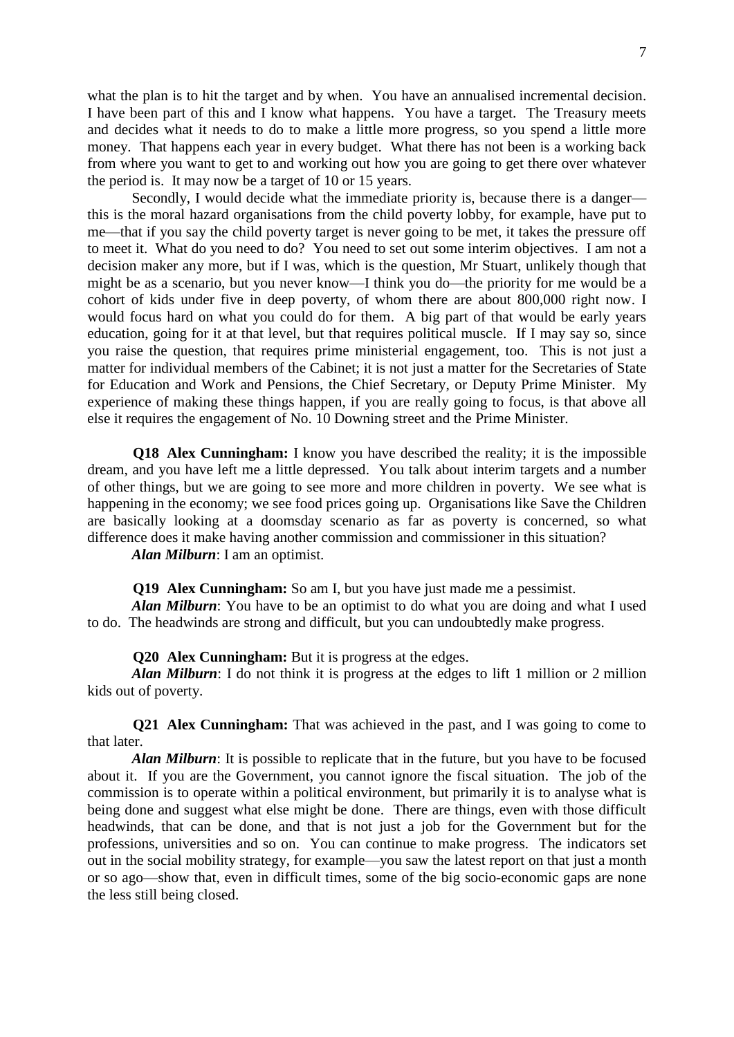what the plan is to hit the target and by when. You have an annualised incremental decision. I have been part of this and I know what happens. You have a target. The Treasury meets and decides what it needs to do to make a little more progress, so you spend a little more money. That happens each year in every budget. What there has not been is a working back from where you want to get to and working out how you are going to get there over whatever the period is. It may now be a target of 10 or 15 years.

Secondly, I would decide what the immediate priority is, because there is a danger this is the moral hazard organisations from the child poverty lobby, for example, have put to me—that if you say the child poverty target is never going to be met, it takes the pressure off to meet it. What do you need to do? You need to set out some interim objectives. I am not a decision maker any more, but if I was, which is the question, Mr Stuart, unlikely though that might be as a scenario, but you never know—I think you do—the priority for me would be a cohort of kids under five in deep poverty, of whom there are about 800,000 right now. I would focus hard on what you could do for them. A big part of that would be early years education, going for it at that level, but that requires political muscle. If I may say so, since you raise the question, that requires prime ministerial engagement, too. This is not just a matter for individual members of the Cabinet; it is not just a matter for the Secretaries of State for Education and Work and Pensions, the Chief Secretary, or Deputy Prime Minister. My experience of making these things happen, if you are really going to focus, is that above all else it requires the engagement of No. 10 Downing street and the Prime Minister.

**Q18 Alex Cunningham:** I know you have described the reality; it is the impossible dream, and you have left me a little depressed. You talk about interim targets and a number of other things, but we are going to see more and more children in poverty. We see what is happening in the economy; we see food prices going up. Organisations like Save the Children are basically looking at a doomsday scenario as far as poverty is concerned, so what difference does it make having another commission and commissioner in this situation?

*Alan Milburn*: I am an optimist.

**Q19 Alex Cunningham:** So am I, but you have just made me a pessimist.

*Alan Milburn*: You have to be an optimist to do what you are doing and what I used to do. The headwinds are strong and difficult, but you can undoubtedly make progress.

**Q20 Alex Cunningham:** But it is progress at the edges.

*Alan Milburn*: I do not think it is progress at the edges to lift 1 million or 2 million kids out of poverty.

**Q21 Alex Cunningham:** That was achieved in the past, and I was going to come to that later.

*Alan Milburn*: It is possible to replicate that in the future, but you have to be focused about it. If you are the Government, you cannot ignore the fiscal situation. The job of the commission is to operate within a political environment, but primarily it is to analyse what is being done and suggest what else might be done. There are things, even with those difficult headwinds, that can be done, and that is not just a job for the Government but for the professions, universities and so on. You can continue to make progress. The indicators set out in the social mobility strategy, for example—you saw the latest report on that just a month or so ago—show that, even in difficult times, some of the big socio-economic gaps are none the less still being closed.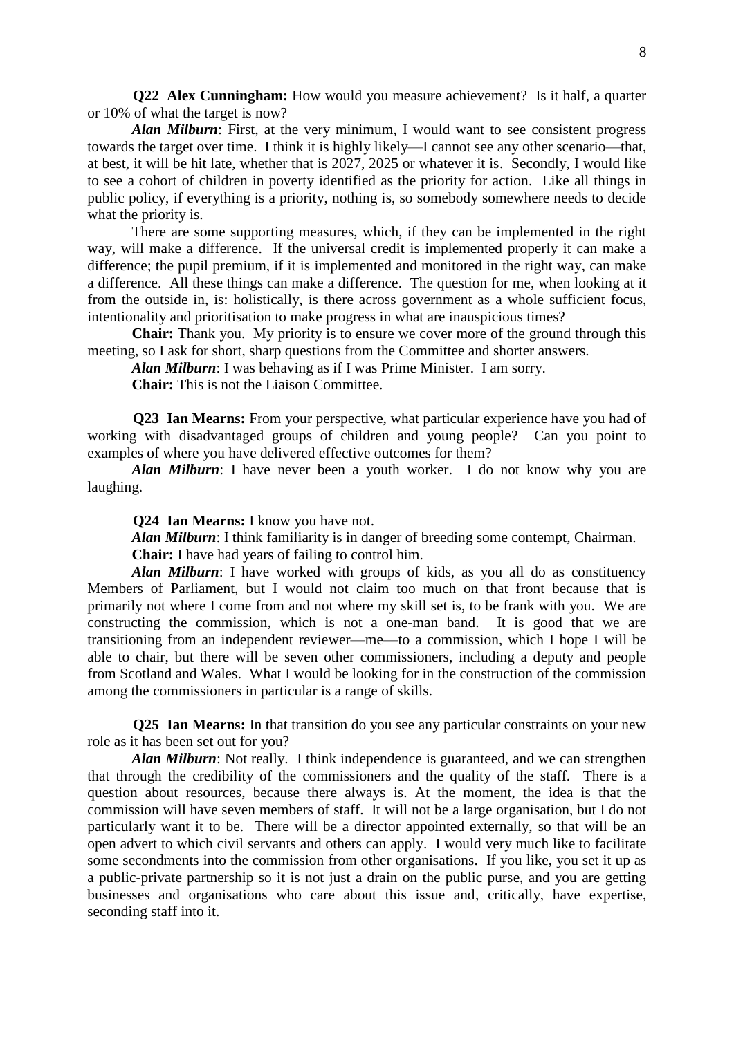**Q22 Alex Cunningham:** How would you measure achievement? Is it half, a quarter or 10% of what the target is now?

*Alan Milburn*: First, at the very minimum, I would want to see consistent progress towards the target over time. I think it is highly likely—I cannot see any other scenario—that, at best, it will be hit late, whether that is 2027, 2025 or whatever it is. Secondly, I would like to see a cohort of children in poverty identified as the priority for action. Like all things in public policy, if everything is a priority, nothing is, so somebody somewhere needs to decide what the priority is.

There are some supporting measures, which, if they can be implemented in the right way, will make a difference. If the universal credit is implemented properly it can make a difference; the pupil premium, if it is implemented and monitored in the right way, can make a difference. All these things can make a difference. The question for me, when looking at it from the outside in, is: holistically, is there across government as a whole sufficient focus, intentionality and prioritisation to make progress in what are inauspicious times?

**Chair:** Thank you. My priority is to ensure we cover more of the ground through this meeting, so I ask for short, sharp questions from the Committee and shorter answers.

*Alan Milburn*: I was behaving as if I was Prime Minister. I am sorry.

**Chair:** This is not the Liaison Committee.

**Q23 Ian Mearns:** From your perspective, what particular experience have you had of working with disadvantaged groups of children and young people? Can you point to examples of where you have delivered effective outcomes for them?

*Alan Milburn*: I have never been a youth worker. I do not know why you are laughing.

**Q24 Ian Mearns:** I know you have not.

*Alan Milburn*: I think familiarity is in danger of breeding some contempt, Chairman.

**Chair:** I have had years of failing to control him.

*Alan Milburn*: I have worked with groups of kids, as you all do as constituency Members of Parliament, but I would not claim too much on that front because that is primarily not where I come from and not where my skill set is, to be frank with you. We are constructing the commission, which is not a one-man band. It is good that we are transitioning from an independent reviewer—me—to a commission, which I hope I will be able to chair, but there will be seven other commissioners, including a deputy and people from Scotland and Wales. What I would be looking for in the construction of the commission among the commissioners in particular is a range of skills.

**Q25 Ian Mearns:** In that transition do you see any particular constraints on your new role as it has been set out for you?

*Alan Milburn*: Not really. I think independence is guaranteed, and we can strengthen that through the credibility of the commissioners and the quality of the staff. There is a question about resources, because there always is. At the moment, the idea is that the commission will have seven members of staff. It will not be a large organisation, but I do not particularly want it to be. There will be a director appointed externally, so that will be an open advert to which civil servants and others can apply. I would very much like to facilitate some secondments into the commission from other organisations. If you like, you set it up as a public-private partnership so it is not just a drain on the public purse, and you are getting businesses and organisations who care about this issue and, critically, have expertise, seconding staff into it.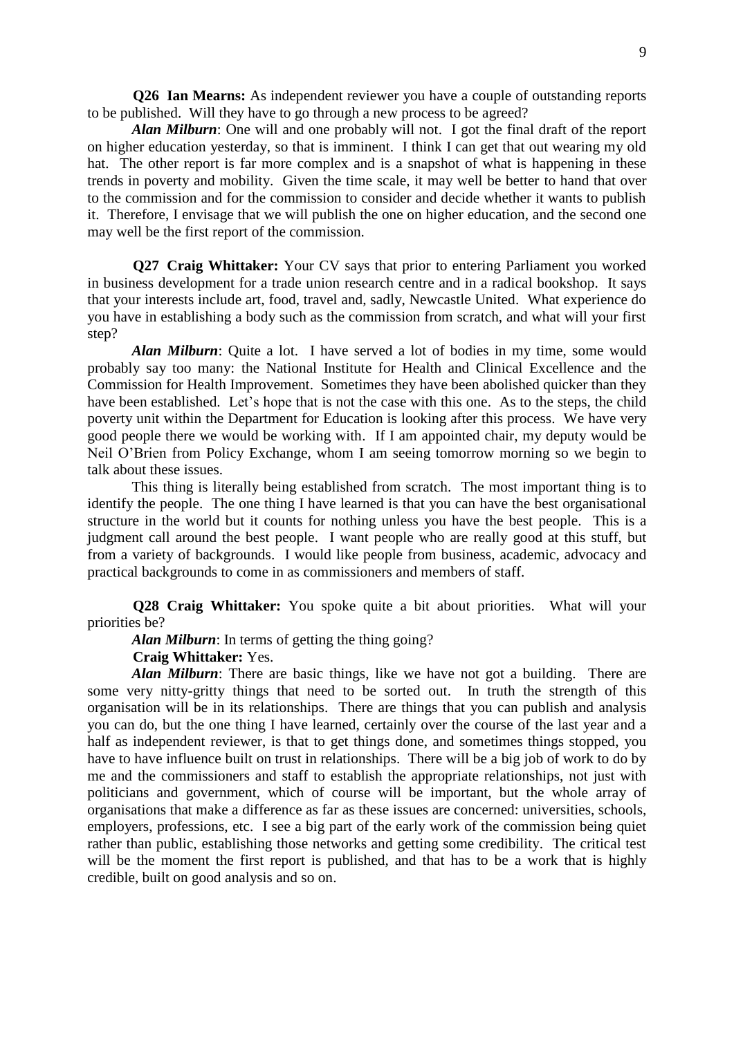**Q26 Ian Mearns:** As independent reviewer you have a couple of outstanding reports to be published. Will they have to go through a new process to be agreed?

*Alan Milburn*: One will and one probably will not. I got the final draft of the report on higher education yesterday, so that is imminent. I think I can get that out wearing my old hat. The other report is far more complex and is a snapshot of what is happening in these trends in poverty and mobility. Given the time scale, it may well be better to hand that over to the commission and for the commission to consider and decide whether it wants to publish it. Therefore, I envisage that we will publish the one on higher education, and the second one may well be the first report of the commission.

**Q27 Craig Whittaker:** Your CV says that prior to entering Parliament you worked in business development for a trade union research centre and in a radical bookshop. It says that your interests include art, food, travel and, sadly, Newcastle United. What experience do you have in establishing a body such as the commission from scratch, and what will your first step?

*Alan Milburn*: Quite a lot. I have served a lot of bodies in my time, some would probably say too many: the National Institute for Health and Clinical Excellence and the Commission for Health Improvement. Sometimes they have been abolished quicker than they have been established. Let's hope that is not the case with this one. As to the steps, the child poverty unit within the Department for Education is looking after this process. We have very good people there we would be working with. If I am appointed chair, my deputy would be Neil O'Brien from Policy Exchange, whom I am seeing tomorrow morning so we begin to talk about these issues.

This thing is literally being established from scratch. The most important thing is to identify the people. The one thing I have learned is that you can have the best organisational structure in the world but it counts for nothing unless you have the best people. This is a judgment call around the best people. I want people who are really good at this stuff, but from a variety of backgrounds. I would like people from business, academic, advocacy and practical backgrounds to come in as commissioners and members of staff.

**Q28 Craig Whittaker:** You spoke quite a bit about priorities. What will your priorities be?

*Alan Milburn*: In terms of getting the thing going?

## **Craig Whittaker:** Yes.

*Alan Milburn*: There are basic things, like we have not got a building. There are some very nitty-gritty things that need to be sorted out. In truth the strength of this organisation will be in its relationships. There are things that you can publish and analysis you can do, but the one thing I have learned, certainly over the course of the last year and a half as independent reviewer, is that to get things done, and sometimes things stopped, you have to have influence built on trust in relationships. There will be a big job of work to do by me and the commissioners and staff to establish the appropriate relationships, not just with politicians and government, which of course will be important, but the whole array of organisations that make a difference as far as these issues are concerned: universities, schools, employers, professions, etc. I see a big part of the early work of the commission being quiet rather than public, establishing those networks and getting some credibility. The critical test will be the moment the first report is published, and that has to be a work that is highly credible, built on good analysis and so on.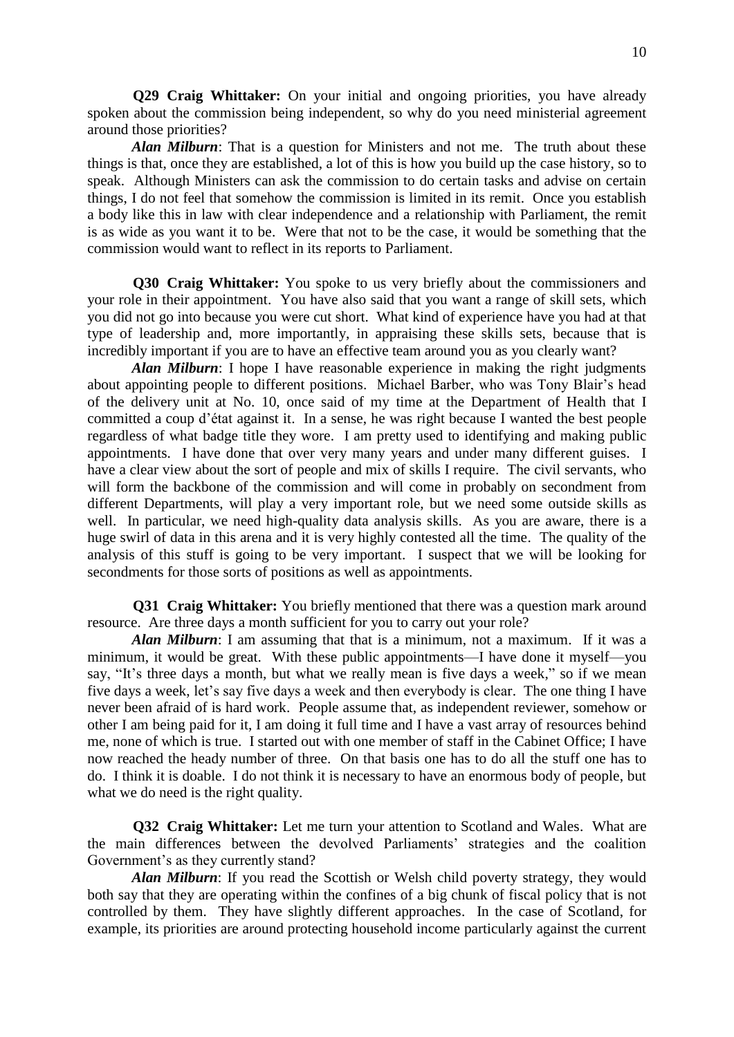**Q29 Craig Whittaker:** On your initial and ongoing priorities, you have already spoken about the commission being independent, so why do you need ministerial agreement around those priorities?

*Alan Milburn*: That is a question for Ministers and not me. The truth about these things is that, once they are established, a lot of this is how you build up the case history, so to speak. Although Ministers can ask the commission to do certain tasks and advise on certain things, I do not feel that somehow the commission is limited in its remit. Once you establish a body like this in law with clear independence and a relationship with Parliament, the remit is as wide as you want it to be. Were that not to be the case, it would be something that the commission would want to reflect in its reports to Parliament.

**Q30 Craig Whittaker:** You spoke to us very briefly about the commissioners and your role in their appointment. You have also said that you want a range of skill sets, which you did not go into because you were cut short. What kind of experience have you had at that type of leadership and, more importantly, in appraising these skills sets, because that is incredibly important if you are to have an effective team around you as you clearly want?

*Alan Milburn*: I hope I have reasonable experience in making the right judgments about appointing people to different positions. Michael Barber, who was Tony Blair's head of the delivery unit at No. 10, once said of my time at the Department of Health that I committed a coup d'état against it. In a sense, he was right because I wanted the best people regardless of what badge title they wore. I am pretty used to identifying and making public appointments. I have done that over very many years and under many different guises. I have a clear view about the sort of people and mix of skills I require. The civil servants, who will form the backbone of the commission and will come in probably on secondment from different Departments, will play a very important role, but we need some outside skills as well. In particular, we need high-quality data analysis skills. As you are aware, there is a huge swirl of data in this arena and it is very highly contested all the time. The quality of the analysis of this stuff is going to be very important. I suspect that we will be looking for secondments for those sorts of positions as well as appointments.

**Q31 Craig Whittaker:** You briefly mentioned that there was a question mark around resource. Are three days a month sufficient for you to carry out your role?

*Alan Milburn*: I am assuming that that is a minimum, not a maximum. If it was a minimum, it would be great. With these public appointments—I have done it myself—you say, "It's three days a month, but what we really mean is five days a week," so if we mean five days a week, let's say five days a week and then everybody is clear. The one thing I have never been afraid of is hard work. People assume that, as independent reviewer, somehow or other I am being paid for it, I am doing it full time and I have a vast array of resources behind me, none of which is true. I started out with one member of staff in the Cabinet Office; I have now reached the heady number of three. On that basis one has to do all the stuff one has to do. I think it is doable. I do not think it is necessary to have an enormous body of people, but what we do need is the right quality.

**Q32 Craig Whittaker:** Let me turn your attention to Scotland and Wales. What are the main differences between the devolved Parliaments' strategies and the coalition Government's as they currently stand?

*Alan Milburn*: If you read the Scottish or Welsh child poverty strategy, they would both say that they are operating within the confines of a big chunk of fiscal policy that is not controlled by them. They have slightly different approaches. In the case of Scotland, for example, its priorities are around protecting household income particularly against the current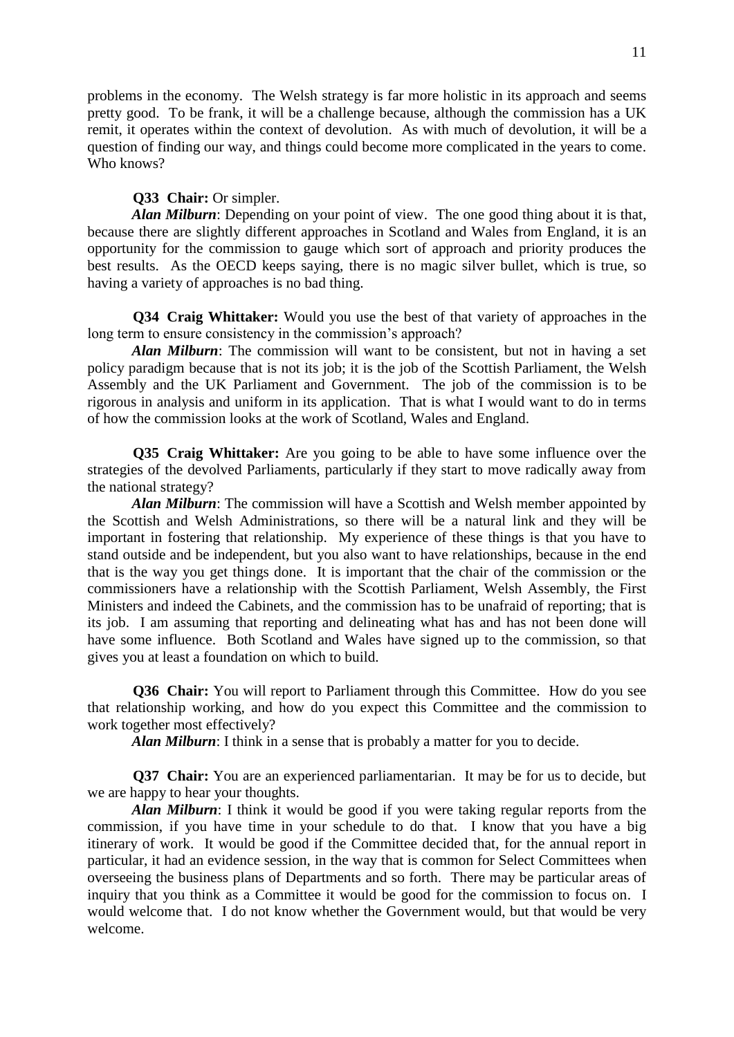problems in the economy. The Welsh strategy is far more holistic in its approach and seems pretty good. To be frank, it will be a challenge because, although the commission has a UK remit, it operates within the context of devolution. As with much of devolution, it will be a question of finding our way, and things could become more complicated in the years to come. Who knows?

# **Q33 Chair:** Or simpler.

*Alan Milburn*: Depending on your point of view. The one good thing about it is that, because there are slightly different approaches in Scotland and Wales from England, it is an opportunity for the commission to gauge which sort of approach and priority produces the best results. As the OECD keeps saying, there is no magic silver bullet, which is true, so having a variety of approaches is no bad thing.

**Q34 Craig Whittaker:** Would you use the best of that variety of approaches in the long term to ensure consistency in the commission's approach?

*Alan Milburn*: The commission will want to be consistent, but not in having a set policy paradigm because that is not its job; it is the job of the Scottish Parliament, the Welsh Assembly and the UK Parliament and Government. The job of the commission is to be rigorous in analysis and uniform in its application. That is what I would want to do in terms of how the commission looks at the work of Scotland, Wales and England.

**Q35 Craig Whittaker:** Are you going to be able to have some influence over the strategies of the devolved Parliaments, particularly if they start to move radically away from the national strategy?

*Alan Milburn*: The commission will have a Scottish and Welsh member appointed by the Scottish and Welsh Administrations, so there will be a natural link and they will be important in fostering that relationship. My experience of these things is that you have to stand outside and be independent, but you also want to have relationships, because in the end that is the way you get things done. It is important that the chair of the commission or the commissioners have a relationship with the Scottish Parliament, Welsh Assembly, the First Ministers and indeed the Cabinets, and the commission has to be unafraid of reporting; that is its job. I am assuming that reporting and delineating what has and has not been done will have some influence. Both Scotland and Wales have signed up to the commission, so that gives you at least a foundation on which to build.

**Q36 Chair:** You will report to Parliament through this Committee. How do you see that relationship working, and how do you expect this Committee and the commission to work together most effectively?

*Alan Milburn*: I think in a sense that is probably a matter for you to decide.

**Q37 Chair:** You are an experienced parliamentarian. It may be for us to decide, but we are happy to hear your thoughts.

*Alan Milburn*: I think it would be good if you were taking regular reports from the commission, if you have time in your schedule to do that. I know that you have a big itinerary of work. It would be good if the Committee decided that, for the annual report in particular, it had an evidence session, in the way that is common for Select Committees when overseeing the business plans of Departments and so forth. There may be particular areas of inquiry that you think as a Committee it would be good for the commission to focus on. I would welcome that. I do not know whether the Government would, but that would be very welcome.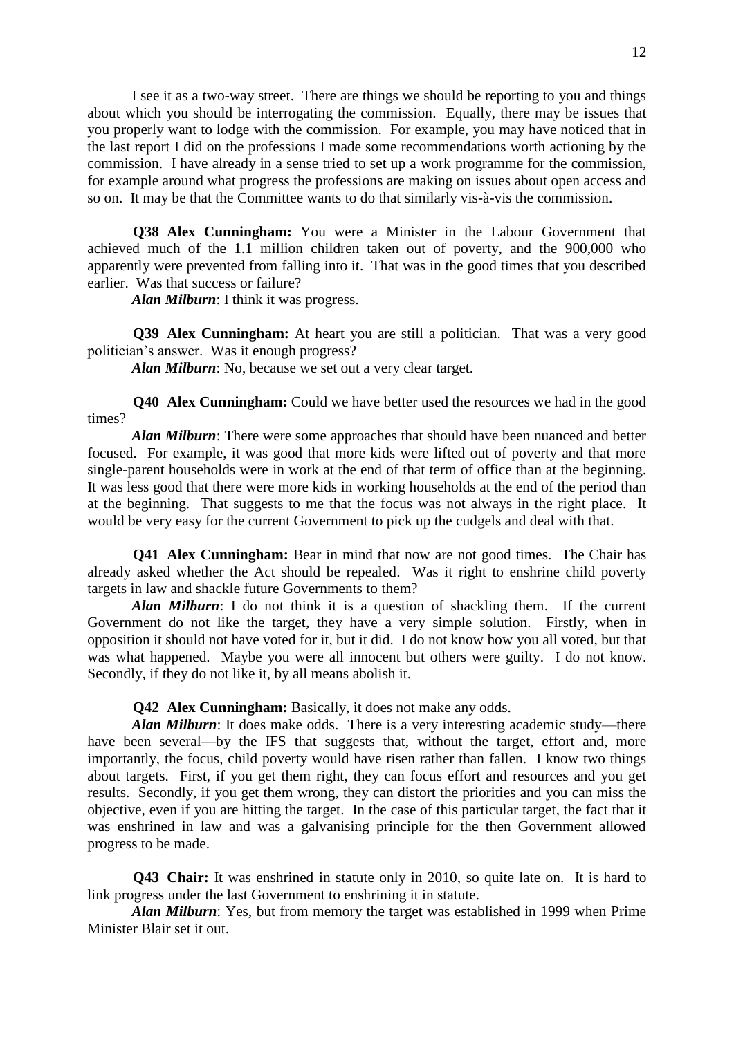I see it as a two-way street. There are things we should be reporting to you and things about which you should be interrogating the commission. Equally, there may be issues that you properly want to lodge with the commission. For example, you may have noticed that in the last report I did on the professions I made some recommendations worth actioning by the commission. I have already in a sense tried to set up a work programme for the commission, for example around what progress the professions are making on issues about open access and so on. It may be that the Committee wants to do that similarly vis-à-vis the commission.

**Q38 Alex Cunningham:** You were a Minister in the Labour Government that achieved much of the 1.1 million children taken out of poverty, and the 900,000 who apparently were prevented from falling into it. That was in the good times that you described earlier. Was that success or failure?

*Alan Milburn*: I think it was progress.

**Q39 Alex Cunningham:** At heart you are still a politician. That was a very good politician's answer. Was it enough progress?

*Alan Milburn*: No, because we set out a very clear target.

**Q40 Alex Cunningham:** Could we have better used the resources we had in the good times?

*Alan Milburn*: There were some approaches that should have been nuanced and better focused. For example, it was good that more kids were lifted out of poverty and that more single-parent households were in work at the end of that term of office than at the beginning. It was less good that there were more kids in working households at the end of the period than at the beginning. That suggests to me that the focus was not always in the right place. It would be very easy for the current Government to pick up the cudgels and deal with that.

**Q41 Alex Cunningham:** Bear in mind that now are not good times. The Chair has already asked whether the Act should be repealed. Was it right to enshrine child poverty targets in law and shackle future Governments to them?

*Alan Milburn*: I do not think it is a question of shackling them. If the current Government do not like the target, they have a very simple solution. Firstly, when in opposition it should not have voted for it, but it did. I do not know how you all voted, but that was what happened. Maybe you were all innocent but others were guilty. I do not know. Secondly, if they do not like it, by all means abolish it.

## **Q42 Alex Cunningham:** Basically, it does not make any odds.

*Alan Milburn*: It does make odds. There is a very interesting academic study—there have been several—by the IFS that suggests that, without the target, effort and, more importantly, the focus, child poverty would have risen rather than fallen. I know two things about targets. First, if you get them right, they can focus effort and resources and you get results. Secondly, if you get them wrong, they can distort the priorities and you can miss the objective, even if you are hitting the target. In the case of this particular target, the fact that it was enshrined in law and was a galvanising principle for the then Government allowed progress to be made.

**Q43 Chair:** It was enshrined in statute only in 2010, so quite late on. It is hard to link progress under the last Government to enshrining it in statute.

*Alan Milburn*: Yes, but from memory the target was established in 1999 when Prime Minister Blair set it out.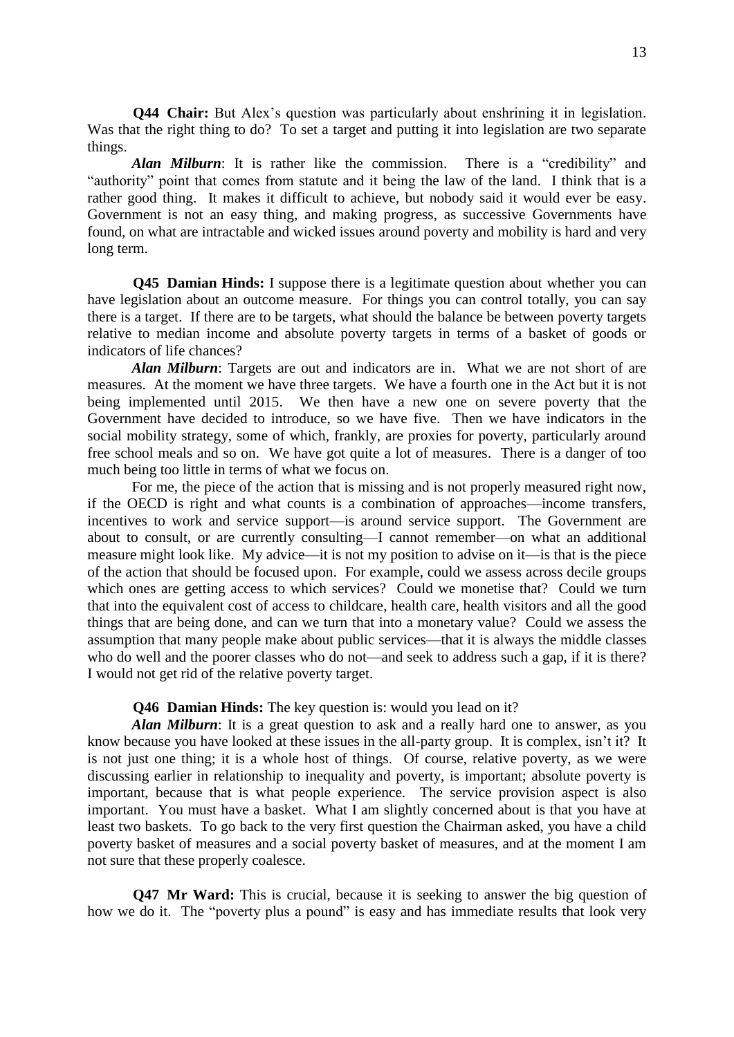**Q44 Chair:** But Alex's question was particularly about enshrining it in legislation. Was that the right thing to do? To set a target and putting it into legislation are two separate things.

*Alan Milburn*: It is rather like the commission. There is a "credibility" and "authority" point that comes from statute and it being the law of the land. I think that is a rather good thing. It makes it difficult to achieve, but nobody said it would ever be easy. Government is not an easy thing, and making progress, as successive Governments have found, on what are intractable and wicked issues around poverty and mobility is hard and very long term.

**Q45 Damian Hinds:** I suppose there is a legitimate question about whether you can have legislation about an outcome measure. For things you can control totally, you can say there is a target. If there are to be targets, what should the balance be between poverty targets relative to median income and absolute poverty targets in terms of a basket of goods or indicators of life chances?

*Alan Milburn*: Targets are out and indicators are in. What we are not short of are measures. At the moment we have three targets. We have a fourth one in the Act but it is not being implemented until 2015. We then have a new one on severe poverty that the Government have decided to introduce, so we have five. Then we have indicators in the social mobility strategy, some of which, frankly, are proxies for poverty, particularly around free school meals and so on. We have got quite a lot of measures. There is a danger of too much being too little in terms of what we focus on.

For me, the piece of the action that is missing and is not properly measured right now, if the OECD is right and what counts is a combination of approaches—income transfers, incentives to work and service support—is around service support. The Government are about to consult, or are currently consulting—I cannot remember—on what an additional measure might look like. My advice—it is not my position to advise on it—is that is the piece of the action that should be focused upon. For example, could we assess across decile groups which ones are getting access to which services? Could we monetise that? Could we turn that into the equivalent cost of access to childcare, health care, health visitors and all the good things that are being done, and can we turn that into a monetary value? Could we assess the assumption that many people make about public services—that it is always the middle classes who do well and the poorer classes who do not—and seek to address such a gap, if it is there? I would not get rid of the relative poverty target.

## **Q46 Damian Hinds:** The key question is: would you lead on it?

*Alan Milburn*: It is a great question to ask and a really hard one to answer, as you know because you have looked at these issues in the all-party group. It is complex, isn't it? It is not just one thing; it is a whole host of things. Of course, relative poverty, as we were discussing earlier in relationship to inequality and poverty, is important; absolute poverty is important, because that is what people experience. The service provision aspect is also important. You must have a basket. What I am slightly concerned about is that you have at least two baskets. To go back to the very first question the Chairman asked, you have a child poverty basket of measures and a social poverty basket of measures, and at the moment I am not sure that these properly coalesce.

**Q47 Mr Ward:** This is crucial, because it is seeking to answer the big question of how we do it. The "poverty plus a pound" is easy and has immediate results that look very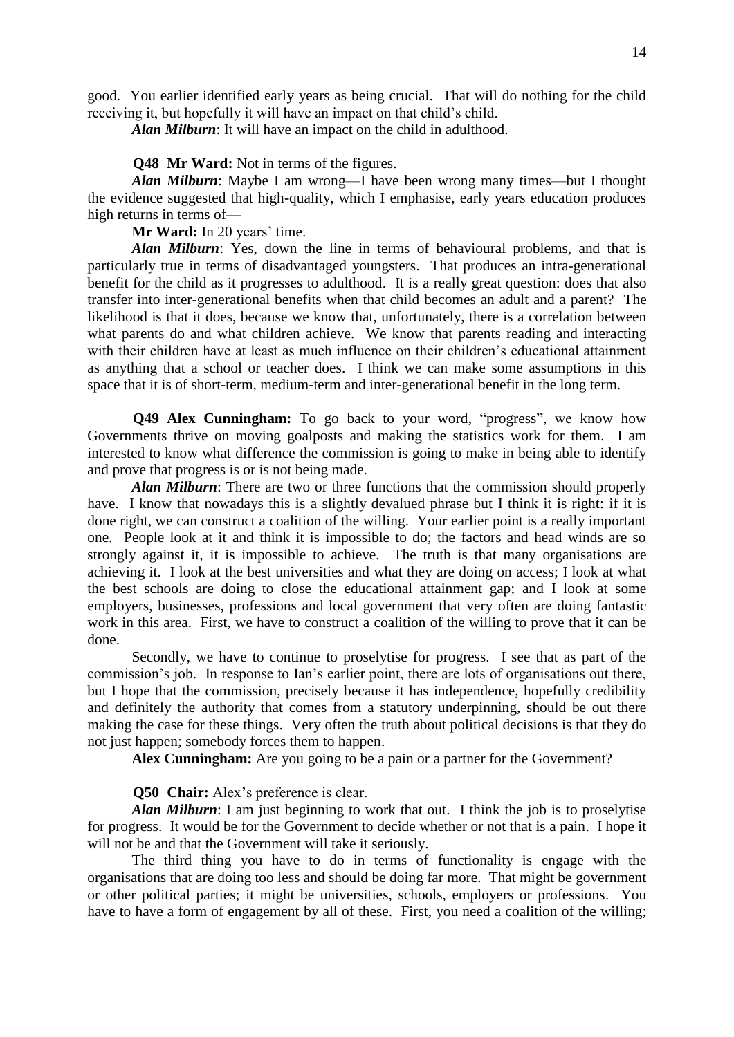good. You earlier identified early years as being crucial. That will do nothing for the child receiving it, but hopefully it will have an impact on that child's child.

*Alan Milburn*: It will have an impact on the child in adulthood.

**Q48 Mr Ward:** Not in terms of the figures.

*Alan Milburn*: Maybe I am wrong—I have been wrong many times—but I thought the evidence suggested that high-quality, which I emphasise, early years education produces high returns in terms of—

**Mr Ward:** In 20 years' time.

*Alan Milburn*: Yes, down the line in terms of behavioural problems, and that is particularly true in terms of disadvantaged youngsters. That produces an intra-generational benefit for the child as it progresses to adulthood. It is a really great question: does that also transfer into inter-generational benefits when that child becomes an adult and a parent? The likelihood is that it does, because we know that, unfortunately, there is a correlation between what parents do and what children achieve. We know that parents reading and interacting with their children have at least as much influence on their children's educational attainment as anything that a school or teacher does. I think we can make some assumptions in this space that it is of short-term, medium-term and inter-generational benefit in the long term.

**Q49 Alex Cunningham:** To go back to your word, "progress", we know how Governments thrive on moving goalposts and making the statistics work for them. I am interested to know what difference the commission is going to make in being able to identify and prove that progress is or is not being made.

*Alan Milburn*: There are two or three functions that the commission should properly have. I know that nowadays this is a slightly devalued phrase but I think it is right: if it is done right, we can construct a coalition of the willing. Your earlier point is a really important one. People look at it and think it is impossible to do; the factors and head winds are so strongly against it, it is impossible to achieve. The truth is that many organisations are achieving it. I look at the best universities and what they are doing on access; I look at what the best schools are doing to close the educational attainment gap; and I look at some employers, businesses, professions and local government that very often are doing fantastic work in this area. First, we have to construct a coalition of the willing to prove that it can be done.

Secondly, we have to continue to proselytise for progress. I see that as part of the commission's job. In response to Ian's earlier point, there are lots of organisations out there, but I hope that the commission, precisely because it has independence, hopefully credibility and definitely the authority that comes from a statutory underpinning, should be out there making the case for these things. Very often the truth about political decisions is that they do not just happen; somebody forces them to happen.

**Alex Cunningham:** Are you going to be a pain or a partner for the Government?

**Q50 Chair:** Alex's preference is clear.

*Alan Milburn*: I am just beginning to work that out. I think the job is to proselytise for progress. It would be for the Government to decide whether or not that is a pain. I hope it will not be and that the Government will take it seriously.

The third thing you have to do in terms of functionality is engage with the organisations that are doing too less and should be doing far more. That might be government or other political parties; it might be universities, schools, employers or professions. You have to have a form of engagement by all of these. First, you need a coalition of the willing;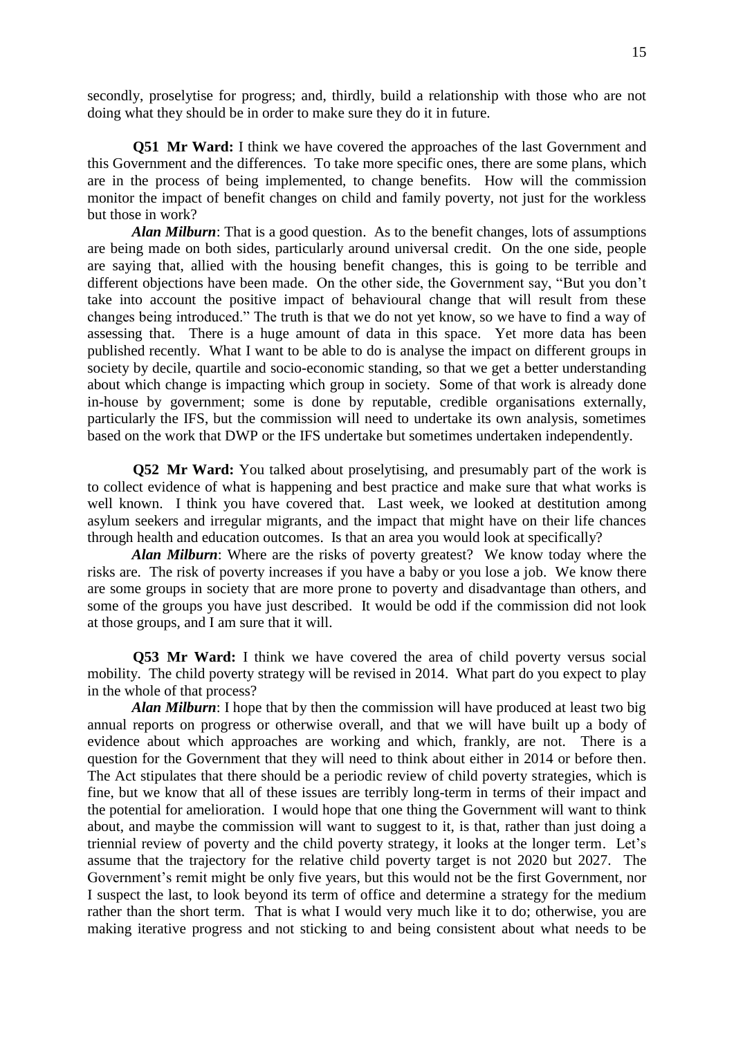secondly, proselytise for progress; and, thirdly, build a relationship with those who are not doing what they should be in order to make sure they do it in future.

**Q51 Mr Ward:** I think we have covered the approaches of the last Government and this Government and the differences. To take more specific ones, there are some plans, which are in the process of being implemented, to change benefits. How will the commission monitor the impact of benefit changes on child and family poverty, not just for the workless but those in work?

*Alan Milburn*: That is a good question. As to the benefit changes, lots of assumptions are being made on both sides, particularly around universal credit. On the one side, people are saying that, allied with the housing benefit changes, this is going to be terrible and different objections have been made. On the other side, the Government say, "But you don't take into account the positive impact of behavioural change that will result from these changes being introduced." The truth is that we do not yet know, so we have to find a way of assessing that. There is a huge amount of data in this space. Yet more data has been published recently. What I want to be able to do is analyse the impact on different groups in society by decile, quartile and socio-economic standing, so that we get a better understanding about which change is impacting which group in society. Some of that work is already done in-house by government; some is done by reputable, credible organisations externally, particularly the IFS, but the commission will need to undertake its own analysis, sometimes based on the work that DWP or the IFS undertake but sometimes undertaken independently.

**Q52 Mr Ward:** You talked about proselytising, and presumably part of the work is to collect evidence of what is happening and best practice and make sure that what works is well known. I think you have covered that. Last week, we looked at destitution among asylum seekers and irregular migrants, and the impact that might have on their life chances through health and education outcomes. Is that an area you would look at specifically?

*Alan Milburn*: Where are the risks of poverty greatest? We know today where the risks are. The risk of poverty increases if you have a baby or you lose a job. We know there are some groups in society that are more prone to poverty and disadvantage than others, and some of the groups you have just described. It would be odd if the commission did not look at those groups, and I am sure that it will.

**Q53 Mr Ward:** I think we have covered the area of child poverty versus social mobility. The child poverty strategy will be revised in 2014. What part do you expect to play in the whole of that process?

*Alan Milburn*: I hope that by then the commission will have produced at least two big annual reports on progress or otherwise overall, and that we will have built up a body of evidence about which approaches are working and which, frankly, are not. There is a question for the Government that they will need to think about either in 2014 or before then. The Act stipulates that there should be a periodic review of child poverty strategies, which is fine, but we know that all of these issues are terribly long-term in terms of their impact and the potential for amelioration. I would hope that one thing the Government will want to think about, and maybe the commission will want to suggest to it, is that, rather than just doing a triennial review of poverty and the child poverty strategy, it looks at the longer term. Let's assume that the trajectory for the relative child poverty target is not 2020 but 2027. The Government's remit might be only five years, but this would not be the first Government, nor I suspect the last, to look beyond its term of office and determine a strategy for the medium rather than the short term. That is what I would very much like it to do; otherwise, you are making iterative progress and not sticking to and being consistent about what needs to be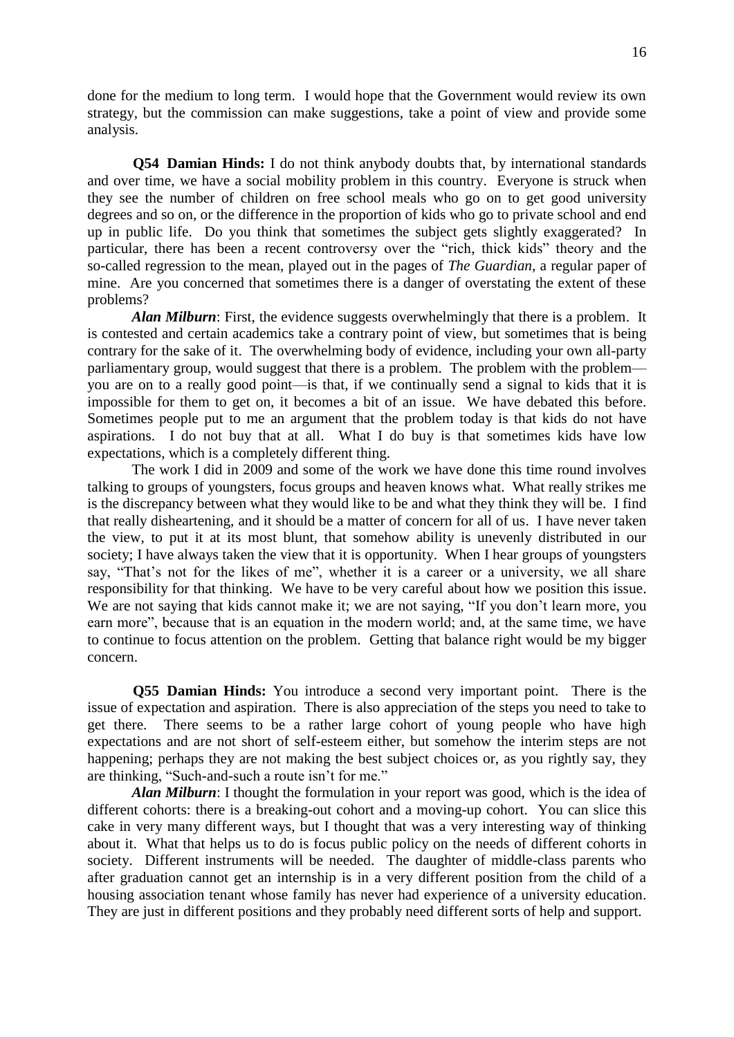done for the medium to long term. I would hope that the Government would review its own strategy, but the commission can make suggestions, take a point of view and provide some analysis.

**Q54 Damian Hinds:** I do not think anybody doubts that, by international standards and over time, we have a social mobility problem in this country. Everyone is struck when they see the number of children on free school meals who go on to get good university degrees and so on, or the difference in the proportion of kids who go to private school and end up in public life. Do you think that sometimes the subject gets slightly exaggerated? In particular, there has been a recent controversy over the "rich, thick kids" theory and the so-called regression to the mean, played out in the pages of *The Guardian*, a regular paper of mine. Are you concerned that sometimes there is a danger of overstating the extent of these problems?

*Alan Milburn*: First, the evidence suggests overwhelmingly that there is a problem. It is contested and certain academics take a contrary point of view, but sometimes that is being contrary for the sake of it. The overwhelming body of evidence, including your own all-party parliamentary group, would suggest that there is a problem. The problem with the problem you are on to a really good point—is that, if we continually send a signal to kids that it is impossible for them to get on, it becomes a bit of an issue. We have debated this before. Sometimes people put to me an argument that the problem today is that kids do not have aspirations. I do not buy that at all. What I do buy is that sometimes kids have low expectations, which is a completely different thing.

The work I did in 2009 and some of the work we have done this time round involves talking to groups of youngsters, focus groups and heaven knows what. What really strikes me is the discrepancy between what they would like to be and what they think they will be. I find that really disheartening, and it should be a matter of concern for all of us. I have never taken the view, to put it at its most blunt, that somehow ability is unevenly distributed in our society; I have always taken the view that it is opportunity. When I hear groups of youngsters say, "That's not for the likes of me", whether it is a career or a university, we all share responsibility for that thinking. We have to be very careful about how we position this issue. We are not saying that kids cannot make it; we are not saying, "If you don't learn more, you earn more", because that is an equation in the modern world; and, at the same time, we have to continue to focus attention on the problem. Getting that balance right would be my bigger concern.

**Q55 Damian Hinds:** You introduce a second very important point. There is the issue of expectation and aspiration. There is also appreciation of the steps you need to take to get there. There seems to be a rather large cohort of young people who have high expectations and are not short of self-esteem either, but somehow the interim steps are not happening; perhaps they are not making the best subject choices or, as you rightly say, they are thinking, "Such-and-such a route isn't for me."

*Alan Milburn*: I thought the formulation in your report was good, which is the idea of different cohorts: there is a breaking-out cohort and a moving-up cohort. You can slice this cake in very many different ways, but I thought that was a very interesting way of thinking about it. What that helps us to do is focus public policy on the needs of different cohorts in society. Different instruments will be needed. The daughter of middle-class parents who after graduation cannot get an internship is in a very different position from the child of a housing association tenant whose family has never had experience of a university education. They are just in different positions and they probably need different sorts of help and support.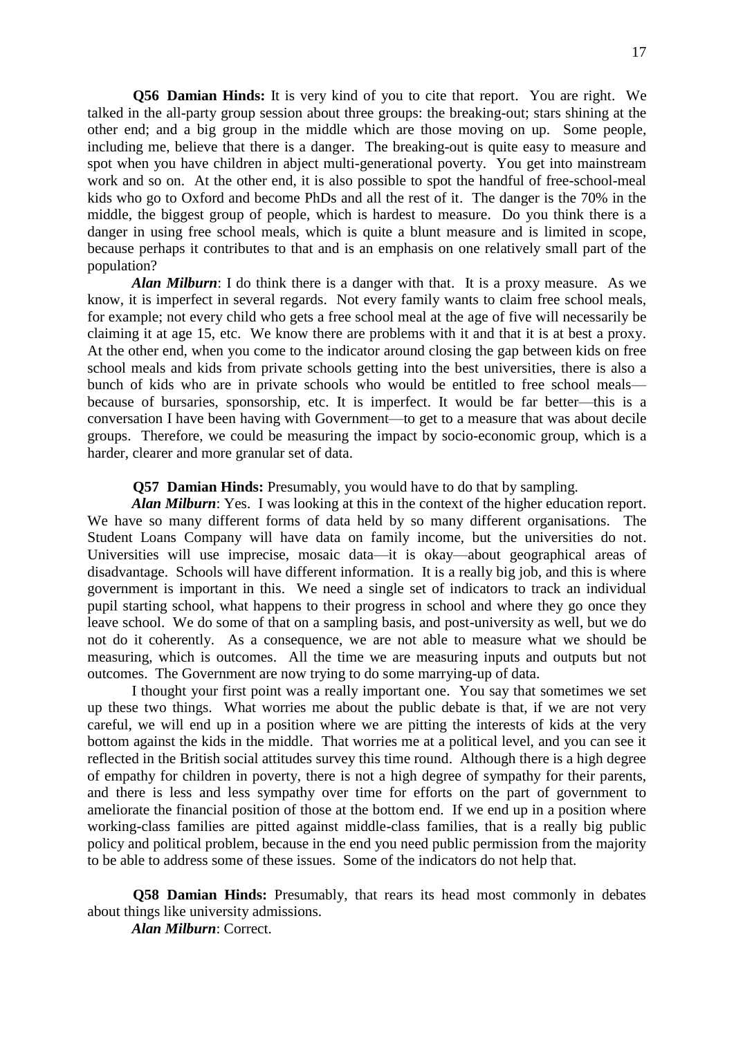**Q56 Damian Hinds:** It is very kind of you to cite that report. You are right. We talked in the all-party group session about three groups: the breaking-out; stars shining at the other end; and a big group in the middle which are those moving on up. Some people, including me, believe that there is a danger. The breaking-out is quite easy to measure and spot when you have children in abject multi-generational poverty. You get into mainstream work and so on. At the other end, it is also possible to spot the handful of free-school-meal kids who go to Oxford and become PhDs and all the rest of it. The danger is the 70% in the middle, the biggest group of people, which is hardest to measure. Do you think there is a danger in using free school meals, which is quite a blunt measure and is limited in scope, because perhaps it contributes to that and is an emphasis on one relatively small part of the population?

*Alan Milburn*: I do think there is a danger with that. It is a proxy measure. As we know, it is imperfect in several regards. Not every family wants to claim free school meals, for example; not every child who gets a free school meal at the age of five will necessarily be claiming it at age 15, etc. We know there are problems with it and that it is at best a proxy. At the other end, when you come to the indicator around closing the gap between kids on free school meals and kids from private schools getting into the best universities, there is also a bunch of kids who are in private schools who would be entitled to free school meals because of bursaries, sponsorship, etc. It is imperfect. It would be far better—this is a conversation I have been having with Government—to get to a measure that was about decile groups. Therefore, we could be measuring the impact by socio-economic group, which is a harder, clearer and more granular set of data.

## **Q57 Damian Hinds:** Presumably, you would have to do that by sampling.

*Alan Milburn*: Yes. I was looking at this in the context of the higher education report. We have so many different forms of data held by so many different organisations. The Student Loans Company will have data on family income, but the universities do not. Universities will use imprecise, mosaic data—it is okay—about geographical areas of disadvantage. Schools will have different information. It is a really big job, and this is where government is important in this. We need a single set of indicators to track an individual pupil starting school, what happens to their progress in school and where they go once they leave school. We do some of that on a sampling basis, and post-university as well, but we do not do it coherently. As a consequence, we are not able to measure what we should be measuring, which is outcomes. All the time we are measuring inputs and outputs but not outcomes. The Government are now trying to do some marrying-up of data.

I thought your first point was a really important one. You say that sometimes we set up these two things. What worries me about the public debate is that, if we are not very careful, we will end up in a position where we are pitting the interests of kids at the very bottom against the kids in the middle. That worries me at a political level, and you can see it reflected in the British social attitudes survey this time round. Although there is a high degree of empathy for children in poverty, there is not a high degree of sympathy for their parents, and there is less and less sympathy over time for efforts on the part of government to ameliorate the financial position of those at the bottom end. If we end up in a position where working-class families are pitted against middle-class families, that is a really big public policy and political problem, because in the end you need public permission from the majority to be able to address some of these issues. Some of the indicators do not help that.

**Q58 Damian Hinds:** Presumably, that rears its head most commonly in debates about things like university admissions.

*Alan Milburn*: Correct.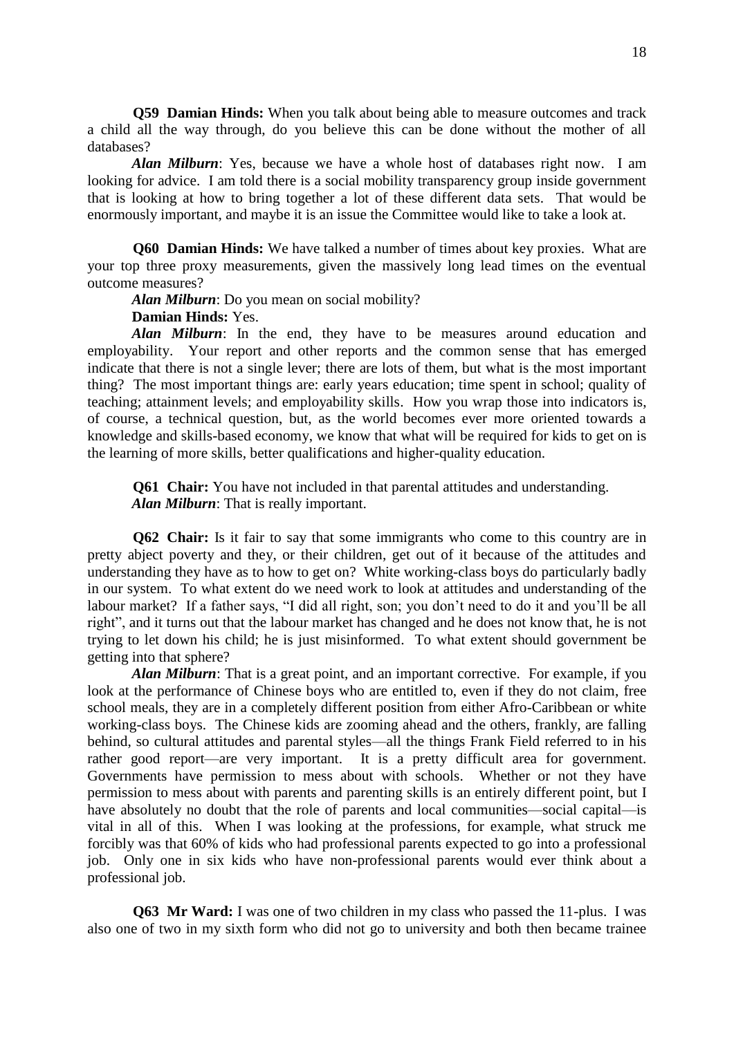**Q59 Damian Hinds:** When you talk about being able to measure outcomes and track a child all the way through, do you believe this can be done without the mother of all databases?

*Alan Milburn*: Yes, because we have a whole host of databases right now. I am looking for advice. I am told there is a social mobility transparency group inside government that is looking at how to bring together a lot of these different data sets. That would be enormously important, and maybe it is an issue the Committee would like to take a look at.

**Q60 Damian Hinds:** We have talked a number of times about key proxies. What are your top three proxy measurements, given the massively long lead times on the eventual outcome measures?

*Alan Milburn*: Do you mean on social mobility?

# **Damian Hinds:** Yes.

*Alan Milburn*: In the end, they have to be measures around education and employability. Your report and other reports and the common sense that has emerged indicate that there is not a single lever; there are lots of them, but what is the most important thing? The most important things are: early years education; time spent in school; quality of teaching; attainment levels; and employability skills. How you wrap those into indicators is, of course, a technical question, but, as the world becomes ever more oriented towards a knowledge and skills-based economy, we know that what will be required for kids to get on is the learning of more skills, better qualifications and higher-quality education.

**Q61 Chair:** You have not included in that parental attitudes and understanding. *Alan Milburn*: That is really important.

**Q62 Chair:** Is it fair to say that some immigrants who come to this country are in pretty abject poverty and they, or their children, get out of it because of the attitudes and understanding they have as to how to get on? White working-class boys do particularly badly in our system. To what extent do we need work to look at attitudes and understanding of the labour market? If a father says, "I did all right, son; you don't need to do it and you'll be all right", and it turns out that the labour market has changed and he does not know that, he is not trying to let down his child; he is just misinformed. To what extent should government be getting into that sphere?

*Alan Milburn*: That is a great point, and an important corrective. For example, if you look at the performance of Chinese boys who are entitled to, even if they do not claim, free school meals, they are in a completely different position from either Afro-Caribbean or white working-class boys. The Chinese kids are zooming ahead and the others, frankly, are falling behind, so cultural attitudes and parental styles—all the things Frank Field referred to in his rather good report—are very important. It is a pretty difficult area for government. Governments have permission to mess about with schools. Whether or not they have permission to mess about with parents and parenting skills is an entirely different point, but I have absolutely no doubt that the role of parents and local communities—social capital—is vital in all of this. When I was looking at the professions, for example, what struck me forcibly was that 60% of kids who had professional parents expected to go into a professional job. Only one in six kids who have non-professional parents would ever think about a professional job.

**Q63 Mr Ward:** I was one of two children in my class who passed the 11-plus. I was also one of two in my sixth form who did not go to university and both then became trainee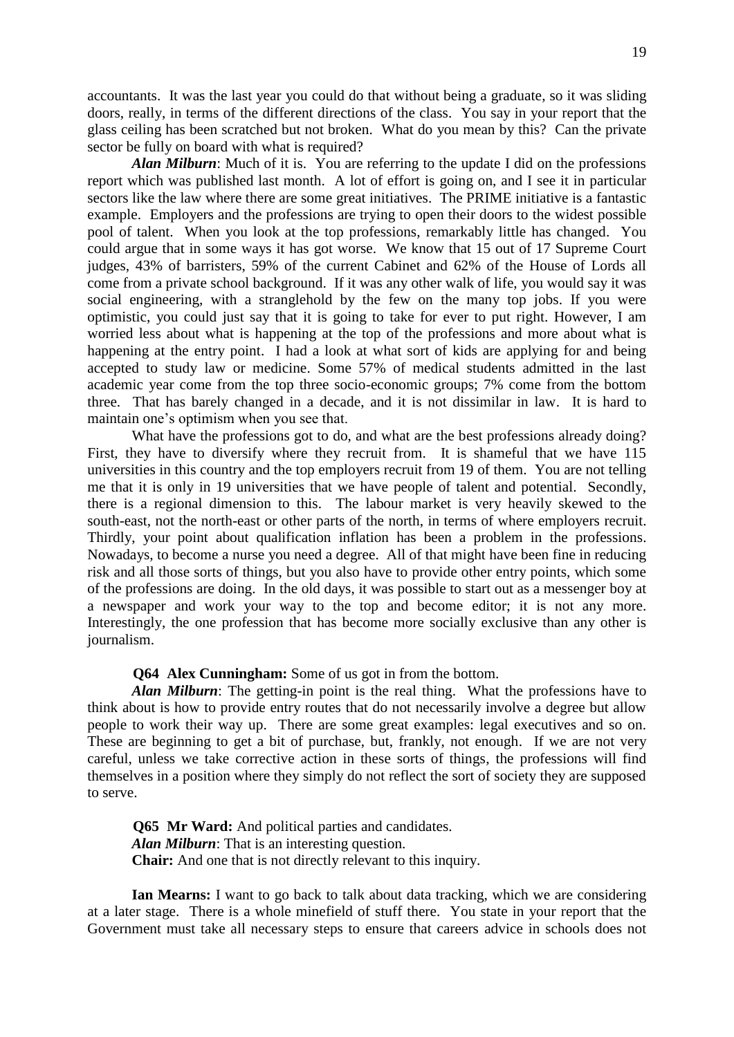accountants. It was the last year you could do that without being a graduate, so it was sliding doors, really, in terms of the different directions of the class. You say in your report that the glass ceiling has been scratched but not broken. What do you mean by this? Can the private sector be fully on board with what is required?

*Alan Milburn*: Much of it is. You are referring to the update I did on the professions report which was published last month. A lot of effort is going on, and I see it in particular sectors like the law where there are some great initiatives. The PRIME initiative is a fantastic example. Employers and the professions are trying to open their doors to the widest possible pool of talent. When you look at the top professions, remarkably little has changed. You could argue that in some ways it has got worse. We know that 15 out of 17 Supreme Court judges, 43% of barristers, 59% of the current Cabinet and 62% of the House of Lords all come from a private school background. If it was any other walk of life, you would say it was social engineering, with a stranglehold by the few on the many top jobs. If you were optimistic, you could just say that it is going to take for ever to put right. However, I am worried less about what is happening at the top of the professions and more about what is happening at the entry point. I had a look at what sort of kids are applying for and being accepted to study law or medicine. Some 57% of medical students admitted in the last academic year come from the top three socio-economic groups; 7% come from the bottom three. That has barely changed in a decade, and it is not dissimilar in law. It is hard to maintain one's optimism when you see that.

What have the professions got to do, and what are the best professions already doing? First, they have to diversify where they recruit from. It is shameful that we have 115 universities in this country and the top employers recruit from 19 of them. You are not telling me that it is only in 19 universities that we have people of talent and potential. Secondly, there is a regional dimension to this. The labour market is very heavily skewed to the south-east, not the north-east or other parts of the north, in terms of where employers recruit. Thirdly, your point about qualification inflation has been a problem in the professions. Nowadays, to become a nurse you need a degree. All of that might have been fine in reducing risk and all those sorts of things, but you also have to provide other entry points, which some of the professions are doing. In the old days, it was possible to start out as a messenger boy at a newspaper and work your way to the top and become editor; it is not any more. Interestingly, the one profession that has become more socially exclusive than any other is journalism.

#### **Q64 Alex Cunningham:** Some of us got in from the bottom.

*Alan Milburn*: The getting-in point is the real thing. What the professions have to think about is how to provide entry routes that do not necessarily involve a degree but allow people to work their way up. There are some great examples: legal executives and so on. These are beginning to get a bit of purchase, but, frankly, not enough. If we are not very careful, unless we take corrective action in these sorts of things, the professions will find themselves in a position where they simply do not reflect the sort of society they are supposed to serve.

**Q65 Mr Ward:** And political parties and candidates. *Alan Milburn*: That is an interesting question. **Chair:** And one that is not directly relevant to this inquiry.

**Ian Mearns:** I want to go back to talk about data tracking, which we are considering at a later stage. There is a whole minefield of stuff there. You state in your report that the Government must take all necessary steps to ensure that careers advice in schools does not